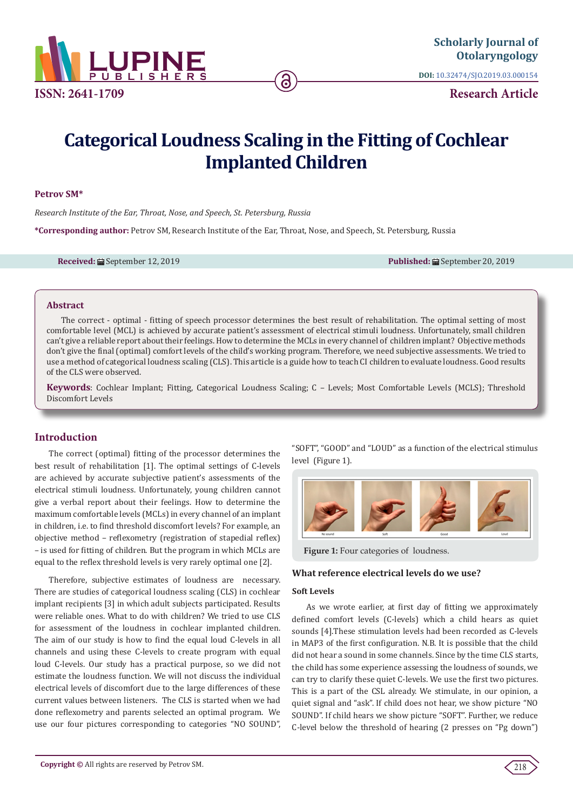

**DOI:** [10.32474/SJO.2019.03.000154](http://dx.doi.org/10.32474/SJO.2019.03.000154)

**Research Article**

# **Categorical Loudness Scaling in the Fitting of Cochlear Implanted Children**

#### **Petrov SM\***

*Research Institute of the Ear, Throat, Nose, and Speech, St. Petersburg, Russia*

**\*Corresponding author:** Petrov SM, Research Institute of the Ear, Throat, Nose, and Speech, St. Petersburg, Russia

**Received:** ■ September 12, 2019 **Published:** ■ September 20, 2019

## **Abstract**

The correct - optimal - fitting of speech processor determines the best result of rehabilitation. The optimal setting of most comfortable level (MCL) is achieved by accurate patient's assessment of electrical stimuli loudness. Unfortunately, small children can't give a reliable report about their feelings. How to determine the MCLs in every channel of children implant? Objective methods don't give the final (optimal) comfort levels of the child's working program. Therefore, we need subjective assessments. We tried to use a method of categorical loudness scaling (CLS). This article is a guide how to teach CI children to evaluate loudness. Good results of the CLS were observed.

**Keywords**: Cochlear Implant; Fitting, Categorical Loudness Scaling; C – Levels; Most Comfortable Levels (MCLS); Threshold Discomfort Levels

# **Introduction**

The correct (optimal) fitting of the processor determines the best result of rehabilitation [1]. The optimal settings of C-levels are achieved by accurate subjective patient's assessments of the electrical stimuli loudness. Unfortunately, young children cannot give a verbal report about their feelings. How to determine the maximum comfortable levels (MCLs) in every channel of an implant in children, i.e. to find threshold discomfort levels? For example, an objective method – reflexometry (registration of stapedial reflex) – is used for fitting of children. But the program in which MCLs are equal to the reflex threshold levels is very rarely optimal one [2].

Therefore, subjective estimates of loudness are necessary. There are studies of categorical loudness scaling (CLS) in cochlear implant recipients [3] in which adult subjects participated. Results were reliable ones. What to do with children? We tried to use CLS for assessment of the loudness in cochlear implanted children. The aim of our study is how to find the equal loud C-levels in all channels and using these C-levels to create program with equal loud C-levels. Our study has a practical purpose, so we did not estimate the loudness function. We will not discuss the individual electrical levels of discomfort due to the large differences of these current values between listeners. The CLS is started when we had done reflexometry and parents selected an optimal program. We use our four pictures corresponding to categories "NO SOUND",

"SOFT", "GOOD" and "LOUD" as a function of the electrical stimulus level (Figure 1).



**Figure 1:** Four categories of loudness.

## **What reference electrical levels do we use?**

#### **Soft Levels**

As we wrote earlier, at first day of fitting we approximately defined comfort levels (C-levels) which a child hears as quiet sounds [4].These stimulation levels had been recorded as C-levels in MAP3 of the first configuration. N.B. It is possible that the child did not hear a sound in some channels. Since by the time CLS starts, the child has some experience assessing the loudness of sounds, we can try to clarify these quiet C-levels. We use the first two pictures. This is a part of the CSL already. We stimulate, in our opinion, a quiet signal and "ask". If child does not hear, we show picture "NO SOUND". If child hears we show picture "SOFT". Further, we reduce C-level below the threshold of hearing (2 presses on "Pg down")

218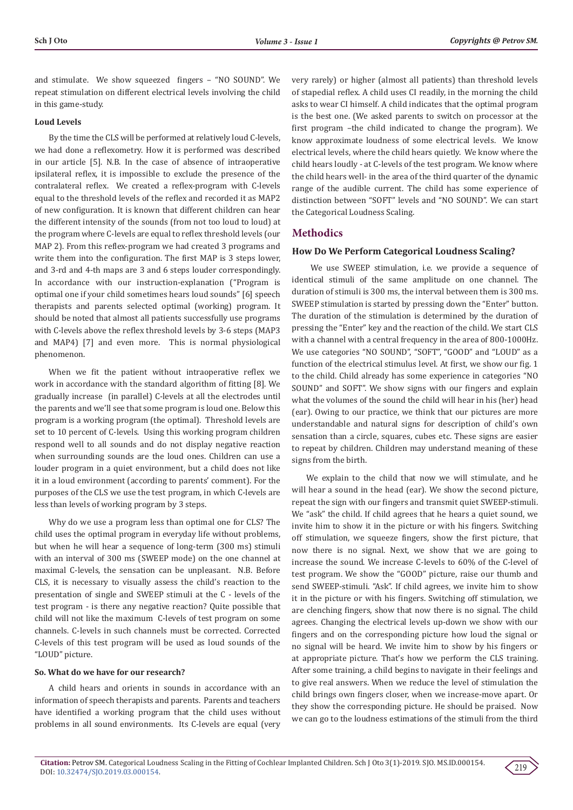and stimulate. We show squeezed fingers – "NO SOUND". We repeat stimulation on different electrical levels involving the child in this game-study.

#### **Loud Levels**

By the time the CLS will be performed at relatively loud С-levels, we had done a reflexometry. How it is performed was described in our article [5]. N.B. In the case of absence of intraoperative ipsilateral reflex, it is impossible to exclude the presence of the contralateral reflex. We created a reflex-program with C-levels equal to the threshold levels of the reflex and recorded it as MAP2 of new configuration. It is known that different children can hear the different intensity of the sounds (from not too loud to loud) at the program where C-levels are equal to reflex threshold levels (our MAP 2). From this reflex-program we had created 3 programs and write them into the configuration. The first MAP is 3 steps lower, and 3-rd and 4-th maps are 3 and 6 steps louder correspondingly. In accordance with our instruction-explanation ("Program is optimal one if your child sometimes hears loud sounds" [6] speech therapists and parents selected optimal (working) program. It should be noted that almost all patients successfully use programs with C-levels above the reflex threshold levels by 3-6 steps (MAP3 and MAP4) [7] and even more. This is normal physiological phenomenon.

When we fit the patient without intraoperative reflex we work in accordance with the standard algorithm of fitting [8]. We gradually increase (in parallel) C-levels at all the electrodes until the parents and we'll see that some program is loud one. Below this program is a working program (the optimal). Threshold levels are set to 10 percent of C-levels. Using this working program children respond well to all sounds and do not display negative reaction when surrounding sounds are the loud ones. Children can use a louder program in a quiet environment, but a child does not like it in a loud environment (according to parents' comment). For the purposes of the CLS we use the test program, in which C-levels are less than levels of working program by 3 steps.

Why do we use a program less than optimal one for CLS? The child uses the optimal program in everyday life without problems, but when he will hear a sequence of long-term (300 ms) stimuli with an interval of 300 ms (SWEEP mode) on the one channel at maximal C-levels, the sensation can be unpleasant. N.B. Before CLS, it is necessary to visually assess the child's reaction to the presentation of single and SWEEP stimuli at the C - levels of the test program - is there any negative reaction? Quite possible that child will not like the maximum C-levels of test program on some channels. C-levels in such channels must be corrected. Corrected C-levels of this test program will be used as loud sounds of the "LOUD" picture.

#### **So. What do we have for our research?**

A child hears and orients in sounds in accordance with an information of speech therapists and parents. Parents and teachers have identified a working program that the child uses without problems in all sound environments. Its C-levels are equal (very

very rarely) or higher (almost all patients) than threshold levels of stapedial reflex. A child uses CI readily, in the morning the child asks to wear CI himself. A child indicates that the optimal program is the best one. (We asked parents to switch on processor at the first program –the child indicated to change the program). We know approximate loudness of some electrical levels. We know electrical levels, where the child hears quietly. We know where the child hears loudly - at C-levels of the test program. We know where the child hears well- in the area of the third quarter of the dynamic range of the audible current. The child has some experience of distinction between "SOFT" levels and "NO SOUND". We can start the Categorical Loudness Scaling.

#### **Methodics**

#### **How Do We Perform Categorical Loudness Scaling?**

 We use SWEEP stimulation, i.e. we provide a sequence of identical stimuli of the same amplitude on one channel. The duration of stimuli is 300 ms, the interval between them is 300 ms. SWEEP stimulation is started by pressing down the "Enter" button. The duration of the stimulation is determined by the duration of pressing the "Enter" key and the reaction of the child. We start CLS with a channel with a central frequency in the area of 800-1000Hz. We use categories "NO SOUND", "SOFT", "GOOD" and "LOUD" as a function of the electrical stimulus level. At first, we show our fig. 1 to the child. Child already has some experience in categories "NO SOUND" and SOFT". We show signs with our fingers and explain what the volumes of the sound the child will hear in his (her) head (ear). Owing to our practice, we think that our pictures are more understandable and natural signs for description of child's own sensation than a circle, squares, cubes etc. These signs are easier to repeat by children. Children may understand meaning of these signs from the birth.

We explain to the child that now we will stimulate, and he will hear a sound in the head (ear). We show the second picture, repeat the sign with our fingers and transmit quiet SWEEP-stimuli. We "ask" the child. If child agrees that he hears a quiet sound, we invite him to show it in the picture or with his fingers. Switching off stimulation, we squeeze fingers, show the first picture, that now there is no signal. Next, we show that we are going to increase the sound. We increase C-levels to 60% of the C-level of test program. We show the "GOOD" picture, raise our thumb and send SWEEP-stimuli. "Ask". If child agrees, we invite him to show it in the picture or with his fingers. Switching off stimulation, we are clenching fingers, show that now there is no signal. The child agrees. Changing the electrical levels up-down we show with our fingers and on the corresponding picture how loud the signal or no signal will be heard. We invite him to show by his fingers or at appropriate picture. That's how we perform the CLS training. After some training, a child begins to navigate in their feelings and to give real answers. When we reduce the level of stimulation the child brings own fingers closer, when we increase-move apart. Or they show the corresponding picture. He should be praised. Now we can go to the loudness estimations of the stimuli from the third

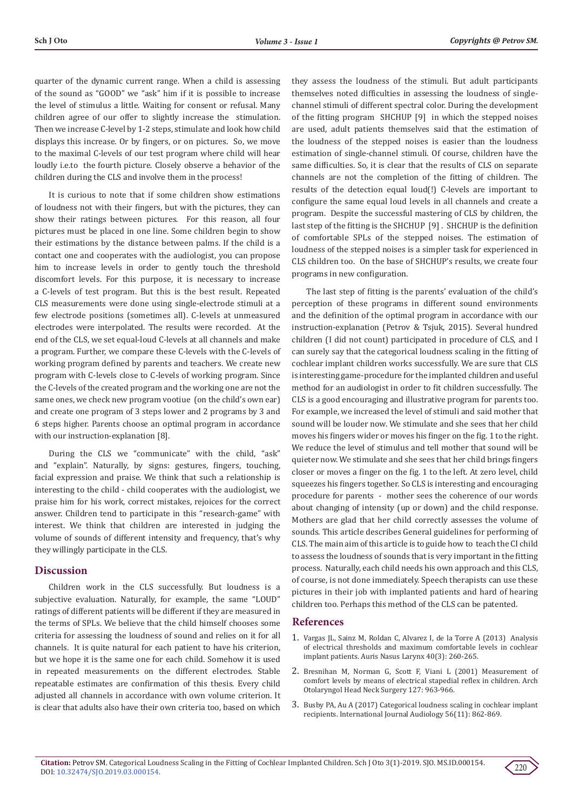quarter of the dynamic current range. When a child is assessing of the sound as "GOOD" we "ask" him if it is possible to increase the level of stimulus a little. Waiting for consent or refusal. Many children agree of our offer to slightly increase the stimulation. Then we increase C-level by 1-2 steps, stimulate and look how child displays this increase. Or by fingers, or on pictures. So, we move to the maximal C-levels of our test program where child will hear loudly i.e.to the fourth picture. Closely observe a behavior of the children during the CLS and involve them in the process!

It is curious to note that if some children show estimations of loudness not with their fingers, but with the pictures, they can show their ratings between pictures. For this reason, all four pictures must be placed in one line. Some children begin to show their estimations by the distance between palms. If the child is a contact one and cooperates with the audiologist, you can propose him to increase levels in order to gently touch the threshold discomfort levels. For this purpose, it is necessary to increase a C-levels of test program. But this is the best result. Repeated CLS measurements were done using single-electrode stimuli at a few electrode positions (sometimes all). C-levels at unmeasured electrodes were interpolated. The results were recorded. At the end of the CLS, we set equal-loud C-levels at all channels and make a program. Further, we compare these C-levels with the C-levels of working program defined by parents and teachers. We create new program with C-levels close to C-levels of working program. Since the C-levels of the created program and the working one are not the same ones, we check new program vootiue (on the child's own ear) and create one program of 3 steps lower and 2 programs by 3 and 6 steps higher. Parents choose an optimal program in accordance with our instruction-explanation [8].

During the CLS we "communicate" with the child, "ask" and "explain". Naturally, by signs: gestures, fingers, touching, facial expression and praise. We think that such a relationship is interesting to the child - child cooperates with the audiologist, we praise him for his work, correct mistakes, rejoices for the correct answer. Children tend to participate in this "research-game" with interest. We think that children are interested in judging the volume of sounds of different intensity and frequency, that's why they willingly participate in the CLS.

### **Discussion**

Children work in the CLS successfully. But loudness is a subjective evaluation. Naturally, for example, the same "LOUD" ratings of different patients will be different if they are measured in the terms of SPLs. We believe that the child himself chooses some criteria for assessing the loudness of sound and relies on it for all channels. It is quite natural for each patient to have his criterion, but we hope it is the same one for each child. Somehow it is used in repeated measurements on the different electrodes. Stable repeatable estimates are confirmation of this thesis. Every child adjusted all channels in accordance with own volume criterion. It is clear that adults also have their own criteria too, based on which they assess the loudness of the stimuli. But adult participants themselves noted difficulties in assessing the loudness of singlechannel stimuli of different spectral color. During the development of the fitting program SHCHUP [9] in which the stepped noises are used, adult patients themselves said that the estimation of the loudness of the stepped noises is easier than the loudness estimation of single-channel stimuli. Of course, children have the same difficulties. So, it is clear that the results of CLS on separate channels are not the completion of the fitting of children. The results of the detection equal loud(!) C-levels are important to configure the same equal loud levels in all channels and create a program. Despite the successful mastering of CLS by children, the last step of the fitting is the SHCHUP [9] . SHCHUP is the definition of comfortable SPLs of the stepped noises. The estimation of loudness of the stepped noises is a simpler task for experienced in CLS children too. On the base of SHCHUP's results, we create four programs in new configuration.

The last step of fitting is the parents' evaluation of the child's perception of these programs in different sound environments and the definition of the optimal program in accordance with our instruction-explanation (Petrov & Tsjuk, 2015). Several hundred children (I did not count) participated in procedure of CLS, and I can surely say that the categorical loudness scaling in the fitting of cochlear implant children works successfully. We are sure that CLS is interesting game-procedure for the implanted children and useful method for an audiologist in order to fit children successfully. The CLS is a good encouraging and illustrative program for parents too. For example, we increased the level of stimuli and said mother that sound will be louder now. We stimulate and she sees that her child moves his fingers wider or moves his finger on the fig. 1 to the right. We reduce the level of stimulus and tell mother that sound will be quieter now. We stimulate and she sees that her child brings fingers closer or moves a finger on the fig. 1 to the left. At zero level, child squeezes his fingers together. So CLS is interesting and encouraging procedure for parents - mother sees the coherence of our words about changing of intensity (up or down) and the child response. Mothers are glad that her child correctly assesses the volume of sounds. This article describes General guidelines for performing of CLS. The main aim of this article is to guide how to teach the CI child to assess the loudness of sounds that is very important in the fitting process. Naturally, each child needs his own approach and this CLS, of course, is not done immediately. Speech therapists can use these pictures in their job with implanted patients and hard of hearing children too. Perhaps this method of the CLS can be patented.

#### **References**

- 1. [Vargas JL, Sainz M, Roldan C, Alvarez I, de la Torre A \(2013\) Analysis](https://www.ncbi.nlm.nih.gov/pubmed/23063250) [of electrical thresholds and maximum comfortable levels in cochlear](https://www.ncbi.nlm.nih.gov/pubmed/23063250) [implant patients. Auris Nasus Larynx 40\(3\): 260-265.](https://www.ncbi.nlm.nih.gov/pubmed/23063250)
- 2. [Bresnihan М, Norman G, Scott F, Viani L \(2001\) Measurement of](https://www.ncbi.nlm.nih.gov/pubmed/11493206) [comfort levels by means of electrical stapedial reflex in children. Arch](https://www.ncbi.nlm.nih.gov/pubmed/11493206) [Otolaryngol Head Neck Surgery 127: 963-966.](https://www.ncbi.nlm.nih.gov/pubmed/11493206)
- 3. [Busby PA, Au A \(2017\) Categorical loudness scaling in cochlear implant](https://www.ncbi.nlm.nih.gov/pubmed/28639840) [recipients. International Journal Audiology 56\(11\): 862-869.](https://www.ncbi.nlm.nih.gov/pubmed/28639840)